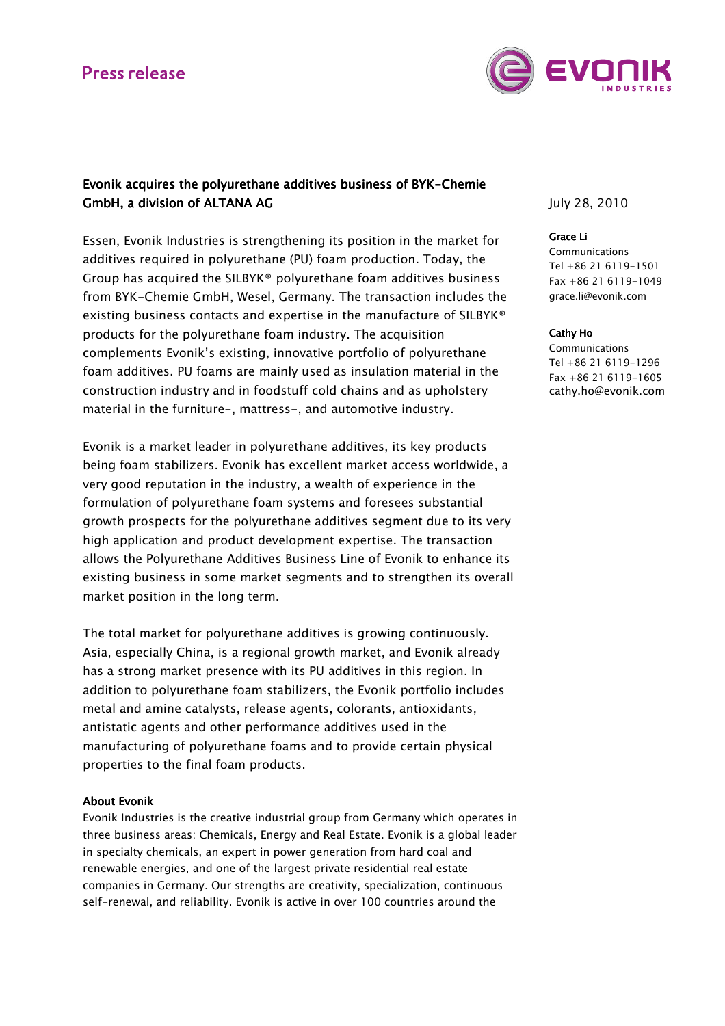## **Press release**



### Evonik acquires the polyurethane additives business of BYK-Chemie GmbH, a division of ALTANA AG

Essen, Evonik Industries is strengthening its position in the market for additives required in polyurethane (PU) foam production. Today, the Group has acquired the SILBYK® polyurethane foam additives business from BYK-Chemie GmbH, Wesel, Germany. The transaction includes the existing business contacts and expertise in the manufacture of SILBYK® products for the polyurethane foam industry. The acquisition complements Evonik's existing, innovative portfolio of polyurethane foam additives. PU foams are mainly used as insulation material in the construction industry and in foodstuff cold chains and as upholstery material in the furniture-, mattress-, and automotive industry.

Evonik is a market leader in polyurethane additives, its key products being foam stabilizers. Evonik has excellent market access worldwide, a very good reputation in the industry, a wealth of experience in the formulation of polyurethane foam systems and foresees substantial growth prospects for the polyurethane additives segment due to its very high application and product development expertise. The transaction allows the Polyurethane Additives Business Line of Evonik to enhance its existing business in some market segments and to strengthen its overall market position in the long term.

The total market for polyurethane additives is growing continuously. Asia, especially China, is a regional growth market, and Evonik already has a strong market presence with its PU additives in this region. In addition to polyurethane foam stabilizers, the Evonik portfolio includes metal and amine catalysts, release agents, colorants, antioxidants, antistatic agents and other performance additives used in the manufacturing of polyurethane foams and to provide certain physical properties to the final foam products.

### **About Evonik**

Evonik Industries is the creative industrial group from Germany which operates in three business areas: Chemicals, Energy and Real Estate. Evonik is a global leader in specialty chemicals, an expert in power generation from hard coal and renewable energies, and one of the largest private residential real estate companies in Germany. Our strengths are creativity, specialization, continuous self-renewal, and reliability. Evonik is active in over 100 countries around the

July 28, 2010

#### Grace Li Grace Li

**Communications** Tel +86 21 6119-1501 Fax +86 21 6119-1049 grace.li@evonik.com

#### Cathy Ho

Communications Tel +86 21 6119-1296 Fax +86 21 6119-1605 cathy.ho@evonik.com